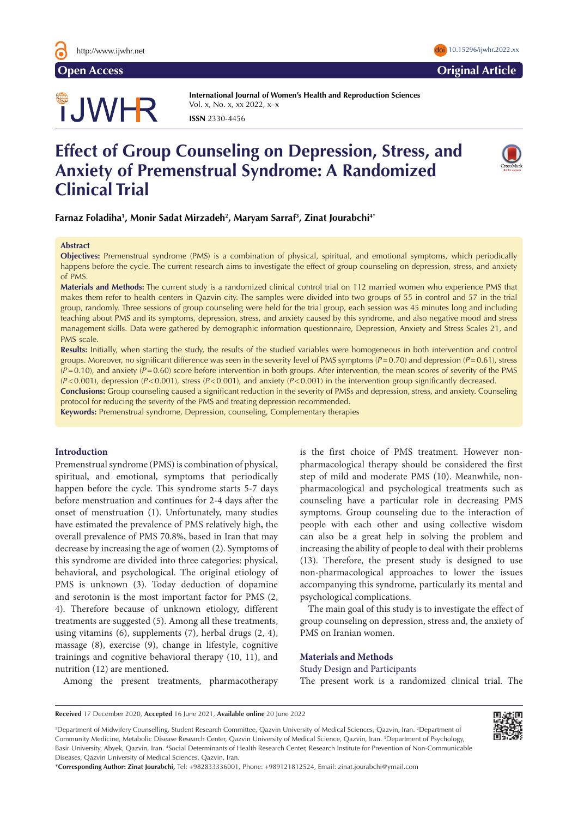

**Open Access Original Article**

# **JWHR**

**International Journal of Women's Health and Reproduction Sciences**  Vol. x, No. x, xx 2022, x–x **ISSN** 2330-4456

# **Effect of Group Counseling on Depression, Stress, and Anxiety of Premenstrual Syndrome: A Randomized Clinical Trial**



**Farnaz Foladiha1 , Monir Sadat Mirzadeh2 , Maryam Sarraf3 , Zinat Jourabchi4\***

#### **Abstract**

**Objectives:** Premenstrual syndrome (PMS) is a combination of physical, spiritual, and emotional symptoms, which periodically happens before the cycle. The current research aims to investigate the effect of group counseling on depression, stress, and anxiety of PMS.

**Materials and Methods:** The current study is a randomized clinical control trial on 112 married women who experience PMS that makes them refer to health centers in Qazvin city. The samples were divided into two groups of 55 in control and 57 in the trial group, randomly. Three sessions of group counseling were held for the trial group, each session was 45 minutes long and including teaching about PMS and its symptoms, depression, stress, and anxiety caused by this syndrome, and also negative mood and stress management skills. Data were gathered by demographic information questionnaire, Depression, Anxiety and Stress Scales 21, and PMS scale.

**Results:** Initially, when starting the study, the results of the studied variables were homogeneous in both intervention and control groups. Moreover, no significant difference was seen in the severity level of PMS symptoms (*P*=0.70) and depression (*P*=0.61), stress  $(P=0.10)$ , and anxiety  $(P=0.60)$  score before intervention in both groups. After intervention, the mean scores of severity of the PMS (*P*<0.001), depression (*P*<0.001), stress (*P*<0.001), and anxiety (*P*<0.001) in the intervention group significantly decreased.

**Conclusions:** Group counseling caused a significant reduction in the severity of PMSs and depression, stress, and anxiety. Counseling protocol for reducing the severity of the PMS and treating depression recommended.

**Keywords:** Premenstrual syndrome, Depression, counseling, Complementary therapies

## **Introduction**

Premenstrual syndrome (PMS) is combination of physical, spiritual, and emotional, symptoms that periodically happen before the cycle. This syndrome starts 5-7 days before menstruation and continues for 2-4 days after the onset of menstruation (1). Unfortunately, many studies have estimated the prevalence of PMS relatively high, the overall prevalence of PMS 70.8%, based in Iran that may decrease by increasing the age of women (2). Symptoms of this syndrome are divided into three categories: physical, behavioral, and psychological. The original etiology of PMS is unknown (3). Today deduction of dopamine and serotonin is the most important factor for PMS (2, 4). Therefore because of unknown etiology, different treatments are suggested (5). Among all these treatments, using vitamins (6), supplements (7), herbal drugs (2, 4), massage (8), exercise (9), change in lifestyle, cognitive trainings and cognitive behavioral therapy (10, 11), and nutrition (12) are mentioned.

Among the present treatments, pharmacotherapy

is the first choice of PMS treatment. However nonpharmacological therapy should be considered the first step of mild and moderate PMS (10). Meanwhile, nonpharmacological and psychological treatments such as counseling have a particular role in decreasing PMS symptoms. Group counseling due to the interaction of people with each other and using collective wisdom can also be a great help in solving the problem and increasing the ability of people to deal with their problems (13). Therefore, the present study is designed to use non-pharmacological approaches to lower the issues accompanying this syndrome, particularly its mental and psychological complications.

The main goal of this study is to investigate the effect of group counseling on depression, stress and, the anxiety of PMS on Iranian women.

# **Materials and Methods**

Study Design and Participants The present work is a randomized clinical trial. The

<sup>1</sup>Department of Midwifery Counselling, Student Research Committee, Qazvin University of Medical Sciences, Qazvin, Iran. <sup>2</sup>Department of Community Medicine, Metabolic Disease Research Center, Qazvin University of Medical Science, Qazvin, Iran. 3 Department of Psychology, Basir University, Abyek, Qazvin, Iran. 4 Social Determinants of Health Research Center, Research Institute for Prevention of Non-Communicable Diseases, Qazvin University of Medical Sciences, Qazvin, Iran.

\***Corresponding Author: Zinat Jourabchi,** Tel: +982833336001, Phone: +989121812524, Email: zinat.jourabchi@ymail.com



**Received** 17 December 2020, **Accepted** 16 June 2021, **Available online** 20 June 2022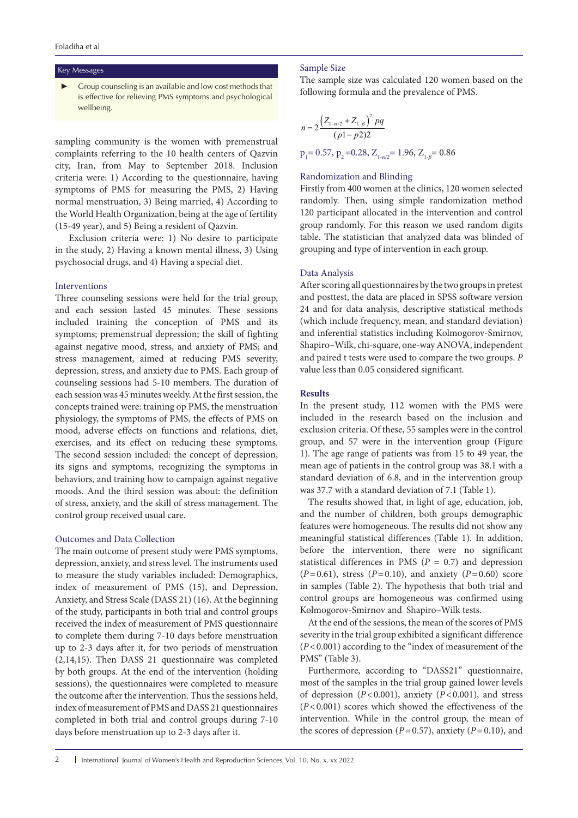#### Key Messages

Group counseling is an available and low cost methods that is effective for relieving PMS symptoms and psychological wellbeing.

sampling community is the women with premenstrual complaints referring to the 10 health centers of Qazvin city, Iran, from May to September 2018. Inclusion criteria were: 1) According to the questionnaire, having symptoms of PMS for measuring the PMS, 2) Having normal menstruation, 3) Being married, 4) According to the World Health Organization, being at the age of fertility (15-49 year), and 5) Being a resident of Qazvin.

Exclusion criteria were: 1) No desire to participate in the study, 2) Having a known mental illness, 3) Using psychosocial drugs, and 4) Having a special diet.

# Interventions

Three counseling sessions were held for the trial group, and each session lasted 45 minutes. These sessions included training the conception of PMS and its symptoms; premenstrual depression; the skill of fighting against negative mood, stress, and anxiety of PMS; and stress management, aimed at reducing PMS severity, depression, stress, and anxiety due to PMS. Each group of counseling sessions had 5-10 members. The duration of each session was 45 minutes weekly. At the first session, the concepts trained were: training op PMS, the menstruation physiology, the symptoms of PMS, the effects of PMS on mood, adverse effects on functions and relations, diet, exercises, and its effect on reducing these symptoms. The second session included: the concept of depression, its signs and symptoms, recognizing the symptoms in behaviors, and training how to campaign against negative moods. And the third session was about: the definition of stress, anxiety, and the skill of stress management. The control group received usual care.

# Outcomes and Data Collection

The main outcome of present study were PMS symptoms, depression, anxiety, and stress level. The instruments used to measure the study variables included: Demographics, index of measurement of PMS (15), and Depression, Anxiety, and Stress Scale (DASS 21) (16). At the beginning of the study, participants in both trial and control groups received the index of measurement of PMS questionnaire to complete them during 7-10 days before menstruation up to 2-3 days after it, for two periods of menstruation (2,14,15). Then DASS 21 questionnaire was completed by both groups. At the end of the intervention (holding sessions), the questionnaires were completed to measure the outcome after the intervention. Thus the sessions held, index of measurement of PMS and DASS 21 questionnaires completed in both trial and control groups during 7-10 days before menstruation up to 2-3 days after it.

#### Sample Size

The sample size was calculated 120 women based on the following formula and the prevalence of PMS.

$$
n = 2 \frac{\left(Z_{1-a/2} + Z_{1-\beta}\right)^2 pq}{(p1 - p2)2}
$$
  
 
$$
p_1 = 0.57, p_2 = 0.28, Z_{1-a/2} = 1.96, Z_{1-\beta} = 0.86
$$

# Randomization and Blinding

Firstly from 400 women at the clinics, 120 women selected randomly. Then, using simple randomization method 120 participant allocated in the intervention and control group randomly. For this reason we used random digits table. The statistician that analyzed data was blinded of grouping and type of intervention in each group.

# Data Analysis

After scoring all questionnaires by the two groups in pretest and posttest, the data are placed in SPSS software version 24 and for data analysis, descriptive statistical methods (which include frequency, mean, and standard deviation) and inferential statistics including Kolmogorov-Smirnov, Shapiro–Wilk, chi-square, one-way ANOVA, independent and paired t tests were used to compare the two groups. *P* value less than 0.05 considered significant.

#### **Results**

In the present study, 112 women with the PMS were included in the research based on the inclusion and exclusion criteria. Of these, 55 samples were in the control group, and 57 were in the intervention group (Figure 1). The age range of patients was from 15 to 49 year, the mean age of patients in the control group was 38.1 with a standard deviation of 6.8, and in the intervention group was 37.7 with a standard deviation of 7.1 (Table 1).

The results showed that, in light of age, education, job, and the number of children, both groups demographic features were homogeneous. The results did not show any meaningful statistical differences (Table 1)*.* In addition, before the intervention, there were no significant statistical differences in PMS (*P* = 0.7) and depression  $(P=0.61)$ , stress  $(P=0.10)$ , and anxiety  $(P=0.60)$  score in samples (Table 2). The hypothesis that both trial and control groups are homogeneous was confirmed using Kolmogorov-Smirnov and Shapiro–Wilk tests.

At the end of the sessions, the mean of the scores of PMS severity in the trial group exhibited a significant difference (*P*<0.001) according to the "index of measurement of the PMS" (Table 3).

Furthermore, according to "DASS21" questionnaire, most of the samples in the trial group gained lower levels of depression (*P*<0.001), anxiety (*P*<0.001), and stress (*P*<0.001) scores which showed the effectiveness of the intervention. While in the control group, the mean of the scores of depression ( $P=0.57$ ), anxiety ( $P=0.10$ ), and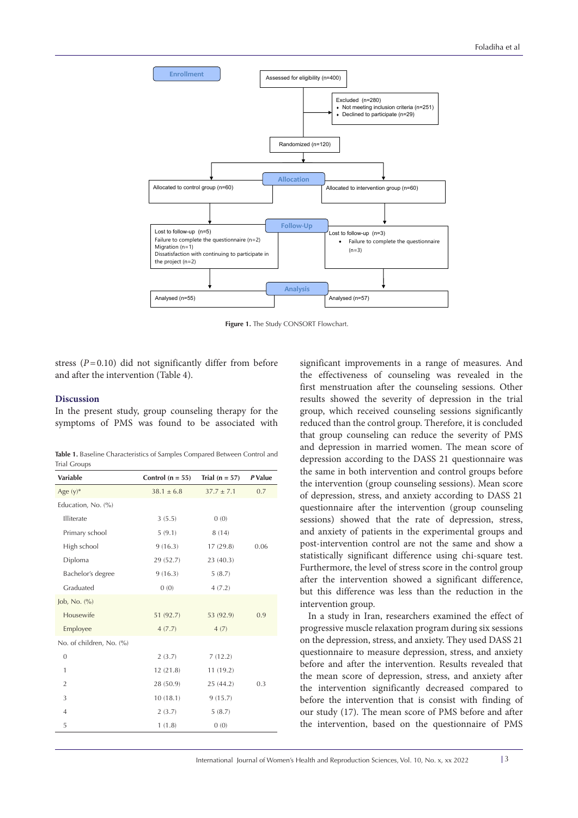

**Figure 1.** The Study CONSORT Flowchart.

stress  $(P=0.10)$  did not significantly differ from before and after the intervention (Table 4).

# **Discussion**

In the present study, group counseling therapy for the symptoms of PMS was found to be associated with

**Table 1.** Baseline Characteristics of Samples Compared Between Control and Trial Groups

| Variable                 | Control $(n = 55)$ | Trial $(n = 57)$ | P Value |
|--------------------------|--------------------|------------------|---------|
| Age $(y)^*$              | $38.1 \pm 6.8$     | $37.7 \pm 7.1$   | 0.7     |
| Education, No. (%)       |                    |                  |         |
| Illiterate               | 3(5.5)             | 0(0)             |         |
| Primary school           | 5(9.1)             | 8(14)            |         |
| High school              | 9(16.3)            | 17(29.8)         | 0.06    |
| Diploma                  | 29 (52.7)          | 23 (40.3)        |         |
| Bachelor's degree        | 9(16.3)            | 5(8.7)           |         |
| Graduated                | 0(0)               | 4(7.2)           |         |
| Job, No. $(\%$           |                    |                  |         |
| Housewife                | 51 (92.7)          | 53 (92.9)        | 0.9     |
| Employee                 | 4(7.7)             | 4(7)             |         |
| No. of children, No. (%) |                    |                  |         |
| $\mathbf{0}$             | 2(3.7)             | 7(12.2)          |         |
| $\mathbf{1}$             | 12(21.8)           | 11(19.2)         |         |
| $\overline{2}$           | 28 (50.9)          | 25(44.2)         | 0.3     |
| 3                        | 10(18.1)           | 9(15.7)          |         |
| $\overline{4}$           | 2(3.7)             | 5(8.7)           |         |
| 5                        | 1(1.8)             | 0(0)             |         |

significant improvements in a range of measures. And the effectiveness of counseling was revealed in the first menstruation after the counseling sessions. Other results showed the severity of depression in the trial group, which received counseling sessions significantly reduced than the control group. Therefore, it is concluded that group counseling can reduce the severity of PMS and depression in married women. The mean score of depression according to the DASS 21 questionnaire was the same in both intervention and control groups before the intervention (group counseling sessions). Mean score of depression, stress, and anxiety according to DASS 21 questionnaire after the intervention (group counseling sessions) showed that the rate of depression, stress, and anxiety of patients in the experimental groups and post-intervention control are not the same and show a statistically significant difference using chi-square test. Furthermore, the level of stress score in the control group after the intervention showed a significant difference, but this difference was less than the reduction in the intervention group.

In a study in Iran, researchers examined the effect of progressive muscle relaxation program during six sessions on the depression, stress, and anxiety. They used DASS 21 questionnaire to measure depression, stress, and anxiety before and after the intervention. Results revealed that the mean score of depression, stress, and anxiety after the intervention significantly decreased compared to before the intervention that is consist with finding of our study (17). The mean score of PMS before and after the intervention, based on the questionnaire of PMS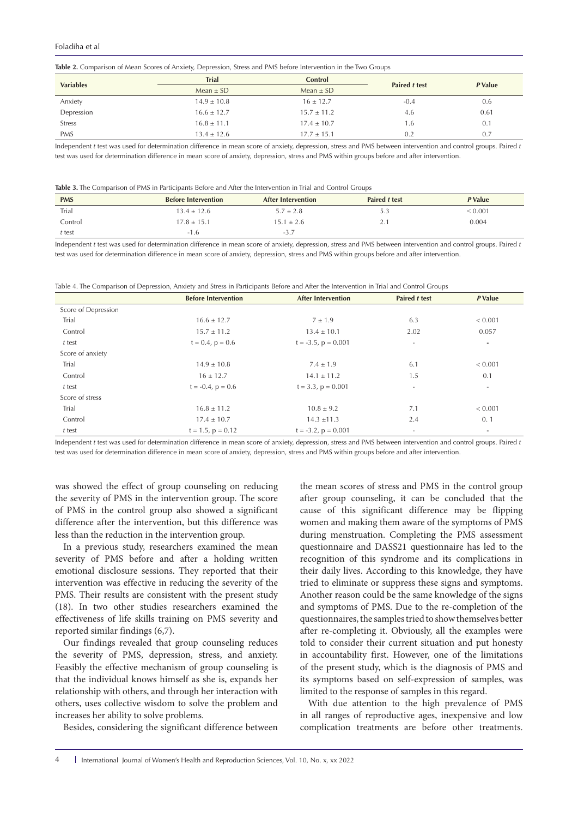#### Foladiha et al

|  | <b>Table 2.</b> Comparison of Mean Scores of Anxiety, Depression, Stress and PMS before Intervention in the Two Groups |  |  |  |  |  |  |  |  |  |
|--|------------------------------------------------------------------------------------------------------------------------|--|--|--|--|--|--|--|--|--|
|--|------------------------------------------------------------------------------------------------------------------------|--|--|--|--|--|--|--|--|--|

| <b>Variables</b> | <b>Trial</b>    | Control         | Paired t test | P Value |  |
|------------------|-----------------|-----------------|---------------|---------|--|
|                  | Mean $\pm$ SD   | Mean $\pm$ SD   |               |         |  |
| Anxiety          | $14.9 \pm 10.8$ | $16 \pm 12.7$   | $-0.4$        | 0.6     |  |
| Depression       | $16.6 \pm 12.7$ | $15.7 \pm 11.2$ | 4.6           | 0.61    |  |
| <b>Stress</b>    | $16.8 \pm 11.1$ | $17.4 \pm 10.7$ | 1.6           | 0.1     |  |
| <b>PMS</b>       | $13.4 \pm 12.6$ | $17.7 \pm 15.1$ | 0.2           | 0.7     |  |

Independent *t* test was used for determination difference in mean score of anxiety, depression, stress and PMS between intervention and control groups. Paired *t*  test was used for determination difference in mean score of anxiety, depression, stress and PMS within groups before and after intervention.

|  | <b>Table 3.</b> The Comparison of PMS in Participants Before and After the Intervention in Trial and Control Groups |
|--|---------------------------------------------------------------------------------------------------------------------|
|--|---------------------------------------------------------------------------------------------------------------------|

| <b>PMS</b> | <b>Before Intervention</b> | <b>After Intervention</b> | <b>Paired t test</b> | P Value       |
|------------|----------------------------|---------------------------|----------------------|---------------|
| Trial      | $13.4 \pm 12.6$            | $5.7 \pm 2.8$             | 5.3                  | ${}^{<}0.001$ |
| Control    | $17.8 \pm 15.1$            | $15.1 \pm 2.6$            | <u>⁄.</u>            | 0.004         |
| t test     | $-1.6$                     | -5                        |                      |               |

Independent *t* test was used for determination difference in mean score of anxiety, depression, stress and PMS between intervention and control groups. Paired *t*  test was used for determination difference in mean score of anxiety, depression, stress and PMS within groups before and after intervention.

Table 4. The Comparison of Depression, Anxiety and Stress in Participants Before and After the Intervention in Trial and Control Groups

|                     | <b>Before Intervention</b> | <b>After Intervention</b> | Paired t test            | P Value                  |
|---------------------|----------------------------|---------------------------|--------------------------|--------------------------|
| Score of Depression |                            |                           |                          |                          |
| Trial               | $16.6 \pm 12.7$            | $7 \pm 1.9$               | 6.3                      | < 0.001                  |
| Control             | $15.7 \pm 11.2$            | $13.4 \pm 10.1$           | 2.02                     | 0.057                    |
| t test              | $t = 0.4$ , $p = 0.6$      | $t = -3.5$ , $p = 0.001$  | $\overline{\phantom{a}}$ | ٠                        |
| Score of anxiety    |                            |                           |                          |                          |
| Trial               | $14.9 \pm 10.8$            | $7.4 \pm 1.9$             | 6.1                      | ${}< 0.001$              |
| Control             | $16 \pm 12.7$              | $14.1 \pm 11.2$           | 1.5                      | 0.1                      |
| t test              | $t = -0.4$ , $p = 0.6$     | $t = 3.3$ , $p = 0.001$   | $\overline{\phantom{a}}$ | $\overline{\phantom{a}}$ |
| Score of stress     |                            |                           |                          |                          |
| Trial               | $16.8 \pm 11.2$            | $10.8 \pm 9.2$            | 7.1                      | ${}< 0.001$              |
| Control             | $17.4 \pm 10.7$            | $14.3 \pm 11.3$           | 2.4                      | 0.1                      |
| t test              | $t = 1.5$ , $p = 0.12$     | $t = -3.2$ , $p = 0.001$  | $\overline{\phantom{a}}$ | ٠                        |

Independent *t* test was used for determination difference in mean score of anxiety, depression, stress and PMS between intervention and control groups. Paired *t*  test was used for determination difference in mean score of anxiety, depression, stress and PMS within groups before and after intervention.

was showed the effect of group counseling on reducing the severity of PMS in the intervention group. The score of PMS in the control group also showed a significant difference after the intervention, but this difference was less than the reduction in the intervention group.

In a previous study, researchers examined the mean severity of PMS before and after a holding written emotional disclosure sessions. They reported that their intervention was effective in reducing the severity of the PMS. Their results are consistent with the present study (18). In two other studies researchers examined the effectiveness of life skills training on PMS severity and reported similar findings (6,7).

Our findings revealed that group counseling reduces the severity of PMS, depression, stress, and anxiety. Feasibly the effective mechanism of group counseling is that the individual knows himself as she is, expands her relationship with others, and through her interaction with others, uses collective wisdom to solve the problem and increases her ability to solve problems.

Besides, considering the significant difference between

the mean scores of stress and PMS in the control group after group counseling, it can be concluded that the cause of this significant difference may be flipping women and making them aware of the symptoms of PMS during menstruation. Completing the PMS assessment questionnaire and DASS21 questionnaire has led to the recognition of this syndrome and its complications in their daily lives. According to this knowledge, they have tried to eliminate or suppress these signs and symptoms. Another reason could be the same knowledge of the signs and symptoms of PMS. Due to the re-completion of the questionnaires, the samples tried to show themselves better after re-completing it. Obviously, all the examples were told to consider their current situation and put honesty in accountability first. However, one of the limitations of the present study, which is the diagnosis of PMS and its symptoms based on self-expression of samples, was limited to the response of samples in this regard.

With due attention to the high prevalence of PMS in all ranges of reproductive ages, inexpensive and low complication treatments are before other treatments.